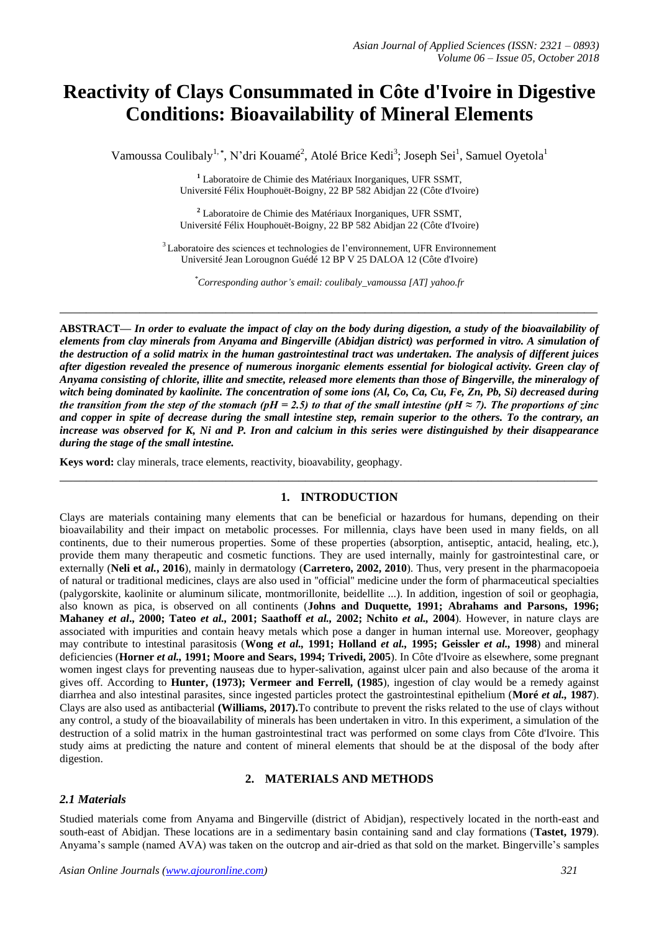# **Reactivity of Clays Consummated in Côte d'Ivoire in Digestive Conditions: Bioavailability of Mineral Elements**

Vamoussa Coulibaly<sup>1,\*</sup>, N'dri Kouamé<sup>2</sup>, Atolé Brice Kedi<sup>3</sup>; Joseph Sei<sup>1</sup>, Samuel Oyetola<sup>1</sup>

**<sup>1</sup>** Laboratoire de Chimie des Matériaux Inorganiques, UFR SSMT, Université Félix Houphouët-Boigny, 22 BP 582 Abidjan 22 (Côte d'Ivoire)

**<sup>2</sup>** Laboratoire de Chimie des Matériaux Inorganiques, UFR SSMT, Université Félix Houphouët-Boigny, 22 BP 582 Abidjan 22 (Côte d'Ivoire)

<sup>3</sup> Laboratoire des sciences et technologies de l'environnement, UFR Environnement Université Jean Lorougnon Guédé 12 BP V 25 DALOA 12 (Côte d'Ivoire)

*\*Corresponding author's email: coulibaly\_vamoussa [AT] yahoo.fr*

**\_\_\_\_\_\_\_\_\_\_\_\_\_\_\_\_\_\_\_\_\_\_\_\_\_\_\_\_\_\_\_\_\_\_\_\_\_\_\_\_\_\_\_\_\_\_\_\_\_\_\_\_\_\_\_\_\_\_\_\_\_\_\_\_\_\_\_\_\_\_\_\_\_\_\_\_\_\_\_\_\_**

**ABSTRACT—** *In order to evaluate the impact of clay on the body during digestion, a study of the bioavailability of elements from clay minerals from Anyama and Bingerville (Abidjan district) was performed in vitro. A simulation of the destruction of a solid matrix in the human gastrointestinal tract was undertaken. The analysis of different juices after digestion revealed the presence of numerous inorganic elements essential for biological activity. Green clay of Anyama consisting of chlorite, illite and smectite, released more elements than those of Bingerville, the mineralogy of witch being dominated by kaolinite. The concentration of some ions (Al, Co, Ca, Cu, Fe, Zn, Pb, Si) decreased during the transition from the step of the stomach (pH = 2.5) to that of the small intestine (pH*  $\approx$  *7). The proportions of zinc and copper in spite of decrease during the small intestine step, remain superior to the others. To the contrary, an increase was observed for K, Ni and P. Iron and calcium in this series were distinguished by their disappearance during the stage of the small intestine.* 

**Keys word:** clay minerals, trace elements, reactivity, bioavability, geophagy.

## **1. INTRODUCTION**

**\_\_\_\_\_\_\_\_\_\_\_\_\_\_\_\_\_\_\_\_\_\_\_\_\_\_\_\_\_\_\_\_\_\_\_\_\_\_\_\_\_\_\_\_\_\_\_\_\_\_\_\_\_\_\_\_\_\_\_\_\_\_\_\_\_\_\_\_\_\_\_\_\_\_\_\_\_\_\_\_\_**

Clays are materials containing many elements that can be beneficial or hazardous for humans, depending on their bioavailability and their impact on metabolic processes. For millennia, clays have been used in many fields, on all continents, due to their numerous properties. Some of these properties (absorption, antiseptic, antacid, healing, etc.), provide them many therapeutic and cosmetic functions. They are used internally, mainly for gastrointestinal care, or externally (**Neli et** *al.***, 2016**), mainly in dermatology (**Carretero, 2002, 2010**). Thus, very present in the pharmacopoeia of natural or traditional medicines, clays are also used in ''official'' medicine under the form of pharmaceutical specialties (palygorskite, kaolinite or aluminum silicate, montmorillonite, beidellite ...). In addition, ingestion of soil or geophagia, also known as pica, is observed on all continents (**Johns and Duquette, 1991; Abrahams and Parsons, 1996; Mahaney** *et al***., 2000; Tateo** *et al.,* **2001; Saathoff** *et al.,* **2002; Nchito** *et al.,* **2004**). However, in nature clays are associated with impurities and contain heavy metals which pose a danger in human internal use. Moreover, geophagy may contribute to intestinal parasitosis (**Wong** *et al.,* **1991; Holland** *et al.,* **1995; Geissler** *et al.,* **1998**) and mineral deficiencies (**Horner** *et al.,* **1991; Moore and Sears, 1994; Trivedi, 2005**). In Côte d'Ivoire as elsewhere, some pregnant women ingest clays for preventing nauseas due to hyper-salivation, against ulcer pain and also because of the aroma it gives off. According to **Hunter, (1973); Vermeer and Ferrell, (1985**), ingestion of clay would be a remedy against diarrhea and also intestinal parasites, since ingested particles protect the gastrointestinal epithelium (**Moré** *et al.,* **1987**). Clays are also used as antibacterial **(Williams, 2017).**To contribute to prevent the risks related to the use of clays without any control, a study of the bioavailability of minerals has been undertaken in vitro. In this experiment, a simulation of the destruction of a solid matrix in the human gastrointestinal tract was performed on some clays from Côte d'Ivoire. This study aims at predicting the nature and content of mineral elements that should be at the disposal of the body after digestion.

#### **2. MATERIALS AND METHODS**

## *2.1 Materials*

Studied materials come from Anyama and Bingerville (district of Abidjan), respectively located in the north-east and south-east of Abidjan. These locations are in a sedimentary basin containing sand and clay formations (**Tastet, 1979**). Anyama's sample (named AVA) was taken on the outcrop and air-dried as that sold on the market. Bingerville's samples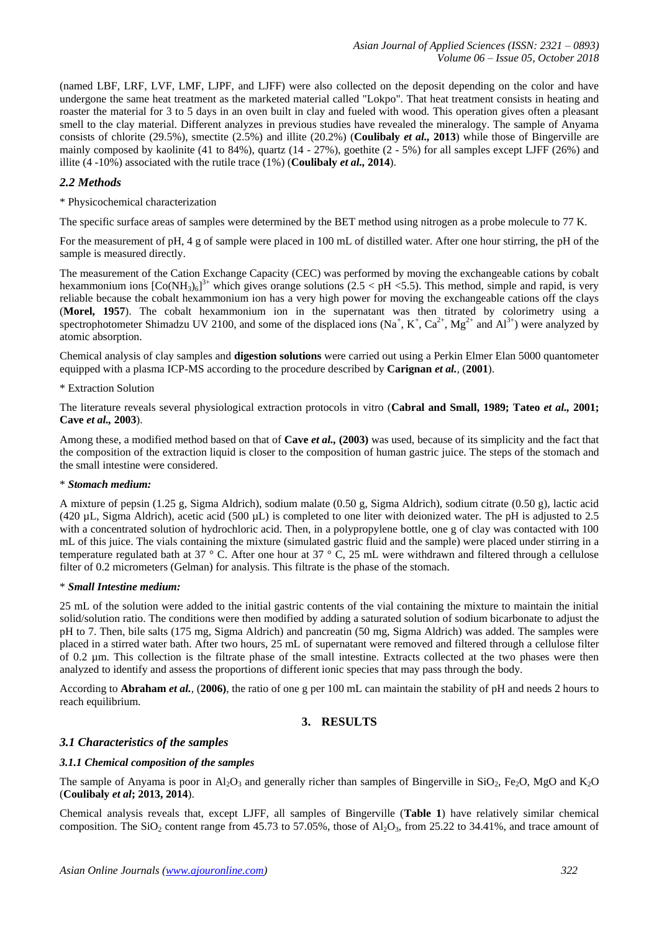(named LBF, LRF, LVF, LMF, LJPF, and LJFF) were also collected on the deposit depending on the color and have undergone the same heat treatment as the marketed material called "Lokpo". That heat treatment consists in heating and roaster the material for 3 to 5 days in an oven built in clay and fueled with wood. This operation gives often a pleasant smell to the clay material. Different analyzes in previous studies have revealed the mineralogy. The sample of Anyama consists of chlorite (29.5%), smectite (2.5%) and illite (20.2%) (**Coulibaly** *et al.,* **2013**) while those of Bingerville are mainly composed by kaolinite (41 to 84%), quartz (14 - 27%), goethite (2 - 5%) for all samples except LJFF (26%) and illite (4 -10%) associated with the rutile trace (1%) (**Coulibaly** *et al.,* **2014**).

# *2.2 Methods*

\* Physicochemical characterization

The specific surface areas of samples were determined by the BET method using nitrogen as a probe molecule to 77 K.

For the measurement of pH, 4 g of sample were placed in 100 mL of distilled water. After one hour stirring, the pH of the sample is measured directly.

The measurement of the Cation Exchange Capacity (CEC) was performed by moving the exchangeable cations by cobalt hexammonium ions  $[Co(NH_3)_6]^{3+}$  which gives orange solutions (2.5 < pH <5.5). This method, simple and rapid, is very reliable because the cobalt hexammonium ion has a very high power for moving the exchangeable cations off the clays (**Morel, 1957**). The cobalt hexammonium ion in the supernatant was then titrated by colorimetry using a spectrophotometer Shimadzu UV 2100, and some of the displaced ions  $(Na^+, K^+, Ca^{2+}, Mg^{2+}$  and  $Al^{3+})$  were analyzed by atomic absorption.

Chemical analysis of clay samples and **digestion solutions** were carried out using a Perkin Elmer Elan 5000 quantometer equipped with a plasma ICP-MS according to the procedure described by **Carignan** *et al.,* (**2001**).

\* Extraction Solution

The literature reveals several physiological extraction protocols in vitro (**Cabral and Small, 1989; Tateo** *et al.,* **2001; Cave** *et al.,* **2003**).

Among these, a modified method based on that of **Cave** *et al.,* **(2003)** was used, because of its simplicity and the fact that the composition of the extraction liquid is closer to the composition of human gastric juice. The steps of the stomach and the small intestine were considered.

## \* *Stomach medium:*

A mixture of pepsin (1.25 g, Sigma Aldrich), sodium malate (0.50 g, Sigma Aldrich), sodium citrate (0.50 g), lactic acid (420 µL, Sigma Aldrich), acetic acid (500 µL) is completed to one liter with deionized water. The pH is adjusted to 2.5 with a concentrated solution of hydrochloric acid. Then, in a polypropylene bottle, one g of clay was contacted with 100 mL of this juice. The vials containing the mixture (simulated gastric fluid and the sample) were placed under stirring in a temperature regulated bath at 37 ° C. After one hour at 37 ° C, 25 mL were withdrawn and filtered through a cellulose filter of 0.2 micrometers (Gelman) for analysis. This filtrate is the phase of the stomach.

## \* *Small Intestine medium:*

25 mL of the solution were added to the initial gastric contents of the vial containing the mixture to maintain the initial solid/solution ratio. The conditions were then modified by adding a saturated solution of sodium bicarbonate to adjust the pH to 7. Then, bile salts (175 mg, Sigma Aldrich) and pancreatin (50 mg, Sigma Aldrich) was added. The samples were placed in a stirred water bath. After two hours, 25 mL of supernatant were removed and filtered through a cellulose filter of 0.2 µm. This collection is the filtrate phase of the small intestine. Extracts collected at the two phases were then analyzed to identify and assess the proportions of different ionic species that may pass through the body.

According to **Abraham** *et al.,* (**2006)**, the ratio of one g per 100 mL can maintain the stability of pH and needs 2 hours to reach equilibrium.

# **3. RESULTS**

## *3.1 Characteristics of the samples*

## *3.1.1 Chemical composition of the samples*

The sample of Anyama is poor in  $A_1O_3$  and generally richer than samples of Bingerville in SiO<sub>2</sub>, Fe<sub>2</sub>O, MgO and K<sub>2</sub>O (**Coulibaly** *et al***; 2013, 2014**).

Chemical analysis reveals that, except LJFF, all samples of Bingerville (**Table 1**) have relatively similar chemical composition. The SiO<sub>2</sub> content range from 45.73 to 57.05%, those of Al<sub>2</sub>O<sub>3</sub>, from 25.22 to 34.41%, and trace amount of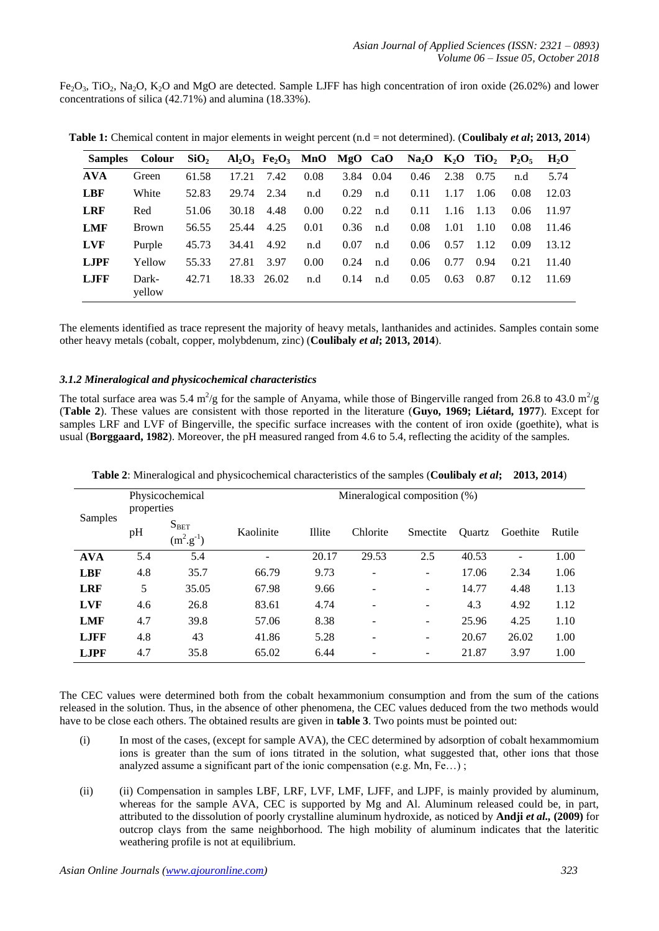$Fe<sub>2</sub>O<sub>3</sub>$ , TiO<sub>2</sub>, Na<sub>2</sub>O, K<sub>2</sub>O and MgO are detected. Sample LJFF has high concentration of iron oxide (26.02%) and lower concentrations of silica (42.71%) and alumina (18.33%).

|             | Samples Colour SiO <sub>2</sub> $Al_2O_3$ Fe <sub>2</sub> O <sub>3</sub> MnO MgO CaO Na <sub>2</sub> O K <sub>2</sub> O TiO <sub>2</sub> P <sub>2</sub> O <sub>5</sub> |       |       |             |      |      |           |      |               |       |      | H <sub>2</sub> O |
|-------------|------------------------------------------------------------------------------------------------------------------------------------------------------------------------|-------|-------|-------------|------|------|-----------|------|---------------|-------|------|------------------|
| <b>AVA</b>  | Green                                                                                                                                                                  | 61.58 | 17.21 | 7.42        | 0.08 |      | 3.84 0.04 | 0.46 | 2.38          | 0.75  | n.d  | 5.74             |
| <b>LBF</b>  | White                                                                                                                                                                  | 52.83 | 29.74 | 2.34        | n.d  | 0.29 | n.d       | 0.11 | 1.17          | 1.06  | 0.08 | 12.03            |
| <b>LRF</b>  | Red                                                                                                                                                                    | 51.06 | 30.18 | 4.48        | 0.00 | 0.22 | n.d       | 0.11 | $1.16$ $1.13$ |       | 0.06 | 11.97            |
| <b>LMF</b>  | <b>Brown</b>                                                                                                                                                           | 56.55 | 25.44 | 4.25        | 0.01 | 0.36 | n.d       | 0.08 | 1.01          | -1.10 | 0.08 | 11.46            |
| <b>LVF</b>  | Purple                                                                                                                                                                 | 45.73 | 34.41 | 4.92        | n.d  | 0.07 | n.d       | 0.06 | 0.57          | 1.12  | 0.09 | 13.12            |
| <b>LJPF</b> | Yellow                                                                                                                                                                 | 55.33 | 27.81 | 3.97        | 0.00 | 0.24 | n.d       | 0.06 | 0.77          | 0.94  | 0.21 | 11.40            |
| <b>LJFF</b> | Dark-<br>yellow                                                                                                                                                        | 42.71 |       | 18.33 26.02 | n.d  | 0.14 | n.d       | 0.05 | 0.63          | 0.87  | 0.12 | -11.69           |

**Table 1:** Chemical content in major elements in weight percent (n.d = not determined). (**Coulibaly** *et al***; 2013, 2014**)

The elements identified as trace represent the majority of heavy metals, lanthanides and actinides. Samples contain some other heavy metals (cobalt, copper, molybdenum, zinc) (**Coulibaly** *et al***; 2013, 2014**).

#### *3.1.2 Mineralogical and physicochemical characteristics*

The total surface area was 5.4 m<sup>2</sup>/g for the sample of Anyama, while those of Bingerville ranged from 26.8 to 43.0 m<sup>2</sup>/g (**Table 2**). These values are consistent with those reported in the literature (**Guyo, 1969; Liétard, 1977**). Except for samples LRF and LVF of Bingerville, the specific surface increases with the content of iron oxide (goethite), what is usual (**Borggaard, 1982**). Moreover, the pH measured ranged from 4.6 to 5.4, reflecting the acidity of the samples.

| Samples      | properties | Physicochemical                      | Mineralogical composition (%) |        |          |          |        |          |        |  |  |  |  |
|--------------|------------|--------------------------------------|-------------------------------|--------|----------|----------|--------|----------|--------|--|--|--|--|
|              | pH         | $S_{BET}$<br>$(m^2 \text{.} g^{-1})$ | Kaolinite                     | Illite | Chlorite | Smectite | Ouartz | Goethite | Rutile |  |  |  |  |
| <b>AVA</b>   | 5.4        | 5.4                                  | $\overline{\phantom{a}}$      | 20.17  | 29.53    | 2.5      | 40.53  | ۰        | 1.00   |  |  |  |  |
| <b>LBF</b>   | 4.8        | 35.7                                 | 66.79                         | 9.73   | -        | ۰.       | 17.06  | 2.34     | 1.06   |  |  |  |  |
| <b>LRF</b>   | 5          | 35.05                                | 67.98                         | 9.66   |          | ۰        | 14.77  | 4.48     | 1.13   |  |  |  |  |
| <b>LVF</b>   | 4.6        | 26.8                                 | 83.61                         | 4.74   |          |          | 4.3    | 4.92     | 1.12   |  |  |  |  |
| <b>LMF</b>   | 4.7        | 39.8                                 | 57.06                         | 8.38   | -        | -        | 25.96  | 4.25     | 1.10   |  |  |  |  |
| <b>L.IFF</b> | 4.8        | 43                                   | 41.86                         | 5.28   | ۰        | ۰        | 20.67  | 26.02    | 1.00   |  |  |  |  |
| <b>LJPF</b>  | 4.7        | 35.8                                 | 65.02                         | 6.44   |          |          | 21.87  | 3.97     | 1.00   |  |  |  |  |

**Table 2**: Mineralogical and physicochemical characteristics of the samples (**Coulibaly** *et al***; 2013, 2014**)

The CEC values were determined both from the cobalt hexammonium consumption and from the sum of the cations released in the solution. Thus, in the absence of other phenomena, the CEC values deduced from the two methods would have to be close each others. The obtained results are given in **table 3**. Two points must be pointed out:

- (i) In most of the cases, (except for sample AVA), the CEC determined by adsorption of cobalt hexammomium ions is greater than the sum of ions titrated in the solution, what suggested that, other ions that those analyzed assume a significant part of the ionic compensation (e.g. Mn, Fe…) ;
- (ii) (ii) Compensation in samples LBF, LRF, LVF, LMF, LJFF, and LJPF, is mainly provided by aluminum, whereas for the sample AVA, CEC is supported by Mg and Al. Aluminum released could be, in part, attributed to the dissolution of poorly crystalline aluminum hydroxide, as noticed by **Andji** *et al.,* **(2009)** for outcrop clays from the same neighborhood. The high mobility of aluminum indicates that the lateritic weathering profile is not at equilibrium.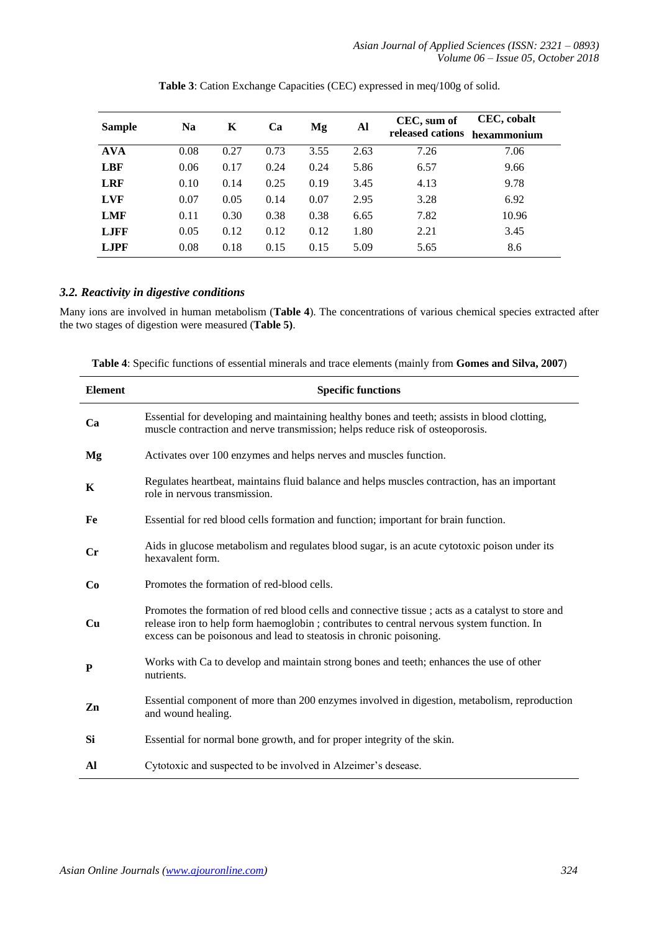*Asian Journal of Applied Sciences (ISSN: 2321 – 0893) Volume 06 – Issue 05, October 2018*

| <b>Sample</b> | <b>Na</b> | K    | Ca   | Mg   | Al   | CEC, sum of<br>released cations | CEC, cobalt<br>hexammonium |
|---------------|-----------|------|------|------|------|---------------------------------|----------------------------|
| <b>AVA</b>    | 0.08      | 0.27 | 0.73 | 3.55 | 2.63 | 7.26                            | 7.06                       |
| <b>LBF</b>    | 0.06      | 0.17 | 0.24 | 0.24 | 5.86 | 6.57                            | 9.66                       |
| <b>LRF</b>    | 0.10      | 0.14 | 0.25 | 0.19 | 3.45 | 4.13                            | 9.78                       |
| <b>LVF</b>    | 0.07      | 0.05 | 0.14 | 0.07 | 2.95 | 3.28                            | 6.92                       |
| <b>LMF</b>    | 0.11      | 0.30 | 0.38 | 0.38 | 6.65 | 7.82                            | 10.96                      |
| <b>LJFF</b>   | 0.05      | 0.12 | 0.12 | 0.12 | 1.80 | 2.21                            | 3.45                       |
| <b>LJPF</b>   | 0.08      | 0.18 | 0.15 | 0.15 | 5.09 | 5.65                            | 8.6                        |

**Table 3**: Cation Exchange Capacities (CEC) expressed in meq/100g of solid.

## *3.2. Reactivity in digestive conditions*

Many ions are involved in human metabolism (**Table 4**). The concentrations of various chemical species extracted after the two stages of digestion were measured (**Table 5)**.

**Table 4**: Specific functions of essential minerals and trace elements (mainly from **Gomes and Silva, 2007**)

| <b>Element</b> | <b>Specific functions</b>                                                                                                                                                                                                                                             |
|----------------|-----------------------------------------------------------------------------------------------------------------------------------------------------------------------------------------------------------------------------------------------------------------------|
| Ca             | Essential for developing and maintaining healthy bones and teeth; assists in blood clotting,<br>muscle contraction and nerve transmission; helps reduce risk of osteoporosis.                                                                                         |
| Mg             | Activates over 100 enzymes and helps nerves and muscles function.                                                                                                                                                                                                     |
| K              | Regulates heartbeat, maintains fluid balance and helps muscles contraction, has an important<br>role in nervous transmission.                                                                                                                                         |
| Fe             | Essential for red blood cells formation and function; important for brain function.                                                                                                                                                                                   |
| $\bf Cr$       | Aids in glucose metabolism and regulates blood sugar, is an acute cytotoxic poison under its<br>hexavalent form.                                                                                                                                                      |
| Co             | Promotes the formation of red-blood cells.                                                                                                                                                                                                                            |
| Cu             | Promotes the formation of red blood cells and connective tissue; acts as a catalyst to store and<br>release iron to help form haemoglobin ; contributes to central nervous system function. In<br>excess can be poisonous and lead to steatosis in chronic poisoning. |
| P              | Works with Ca to develop and maintain strong bones and teeth; enhances the use of other<br>nutrients.                                                                                                                                                                 |
| Zn             | Essential component of more than 200 enzymes involved in digestion, metabolism, reproduction<br>and wound healing.                                                                                                                                                    |
| Si             | Essential for normal bone growth, and for proper integrity of the skin.                                                                                                                                                                                               |
| Al             | Cytotoxic and suspected to be involved in Alzeimer's desease.                                                                                                                                                                                                         |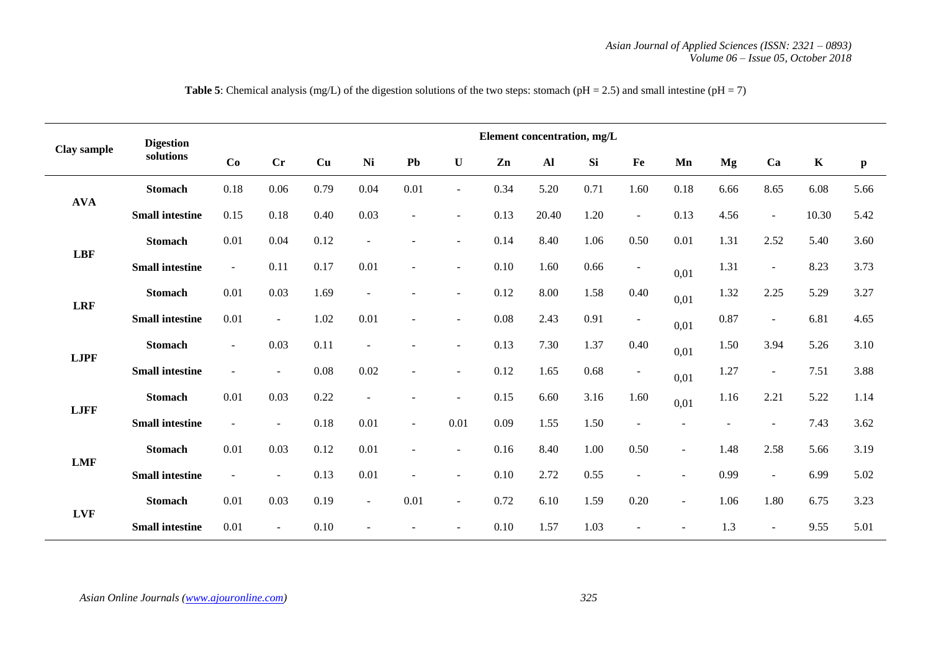| Clay sample | <b>Digestion</b>       | Element concentration, mg/L |                |      |                          |                          |                          |      |       |      |                          |                |      |                          |             |              |
|-------------|------------------------|-----------------------------|----------------|------|--------------------------|--------------------------|--------------------------|------|-------|------|--------------------------|----------------|------|--------------------------|-------------|--------------|
|             | solutions              | Co                          | Cr             | Cu   | <b>Ni</b>                | Pb                       | $\mathbf U$              | Zn   | Al    | Si   | Fe                       | Mn             | Mg   | Ca                       | $\mathbf K$ | $\mathbf{p}$ |
| <b>AVA</b>  | <b>Stomach</b>         | 0.18                        | 0.06           | 0.79 | 0.04                     | 0.01                     | $\sim$                   | 0.34 | 5.20  | 0.71 | 1.60                     | 0.18           | 6.66 | 8.65                     | 6.08        | 5.66         |
|             | <b>Small intestine</b> | 0.15                        | 0.18           | 0.40 | 0.03                     | $\overline{a}$           | $\overline{\phantom{a}}$ | 0.13 | 20.40 | 1.20 | $\blacksquare$           | 0.13           | 4.56 | $\blacksquare$           | 10.30       | 5.42         |
| <b>LBF</b>  | <b>Stomach</b>         | 0.01                        | 0.04           | 0.12 | $\sim$                   |                          | $\sim$                   | 0.14 | 8.40  | 1.06 | $0.50\,$                 | 0.01           | 1.31 | 2.52                     | 5.40        | 3.60         |
|             | <b>Small intestine</b> | $\blacksquare$              | 0.11           | 0.17 | 0.01                     | $\overline{a}$           | $\sim$                   | 0.10 | 1.60  | 0.66 | $\blacksquare$           | 0,01           | 1.31 | $\overline{\phantom{a}}$ | 8.23        | 3.73         |
| <b>LRF</b>  | <b>Stomach</b>         | 0.01                        | 0.03           | 1.69 | $\sim$                   |                          | $\sim$                   | 0.12 | 8.00  | 1.58 | 0.40                     | 0,01           | 1.32 | 2.25                     | 5.29        | 3.27         |
|             | <b>Small intestine</b> | 0.01                        | $\blacksquare$ | 1.02 | 0.01                     | $\overline{\phantom{a}}$ | $\sim$                   | 0.08 | 2.43  | 0.91 | $\blacksquare$           | 0,01           | 0.87 | $\blacksquare$           | 6.81        | 4.65         |
|             | <b>Stomach</b>         | $\blacksquare$              | 0.03           | 0.11 | $\overline{\phantom{a}}$ |                          | $\sim$                   | 0.13 | 7.30  | 1.37 | 0.40                     | 0,01           | 1.50 | 3.94                     | 5.26        | 3.10         |
| <b>LJPF</b> | <b>Small intestine</b> | $\overline{\phantom{a}}$    | $\sim$         | 0.08 | 0.02                     | $\sim$                   | $\sim$                   | 0.12 | 1.65  | 0.68 | $\blacksquare$           | 0,01           | 1.27 | $\overline{\phantom{a}}$ | 7.51        | 3.88         |
|             | <b>Stomach</b>         | 0.01                        | 0.03           | 0.22 | $\sim$                   |                          | $\sim$                   | 0.15 | 6.60  | 3.16 | 1.60                     | 0,01           | 1.16 | 2.21                     | 5.22        | 1.14         |
| <b>LJFF</b> | <b>Small intestine</b> | $\blacksquare$              | $\blacksquare$ | 0.18 | 0.01                     | $\sim$                   | 0.01                     | 0.09 | 1.55  | 1.50 | $\overline{\phantom{a}}$ |                |      | $\overline{\phantom{a}}$ | 7.43        | 3.62         |
|             | <b>Stomach</b>         | 0.01                        | 0.03           | 0.12 | 0.01                     | $\sim$                   | $\sim$                   | 0.16 | 8.40  | 1.00 | 0.50                     | $\sim$         | 1.48 | 2.58                     | 5.66        | 3.19         |
| <b>LMF</b>  | <b>Small intestine</b> | $\overline{\phantom{a}}$    | $\blacksquare$ | 0.13 | 0.01                     | $\overline{\phantom{a}}$ | $\sim$                   | 0.10 | 2.72  | 0.55 | $\overline{\phantom{a}}$ | $\blacksquare$ | 0.99 | $\blacksquare$           | 6.99        | 5.02         |
| <b>LVF</b>  | <b>Stomach</b>         | 0.01                        | 0.03           | 0.19 | $\sim$                   | 0.01                     | $\overline{\phantom{a}}$ | 0.72 | 6.10  | 1.59 | 0.20                     | $\Box$         | 1.06 | 1.80                     | 6.75        | 3.23         |
|             | <b>Small intestine</b> | 0.01                        | $\blacksquare$ | 0.10 |                          |                          | $\overline{\phantom{a}}$ | 0.10 | 1.57  | 1.03 |                          |                | 1.3  | $\overline{\phantom{a}}$ | 9.55        | 5.01         |

**Table 5**: Chemical analysis (mg/L) of the digestion solutions of the two steps: stomach ( $pH = 2.5$ ) and small intestine ( $pH = 7$ )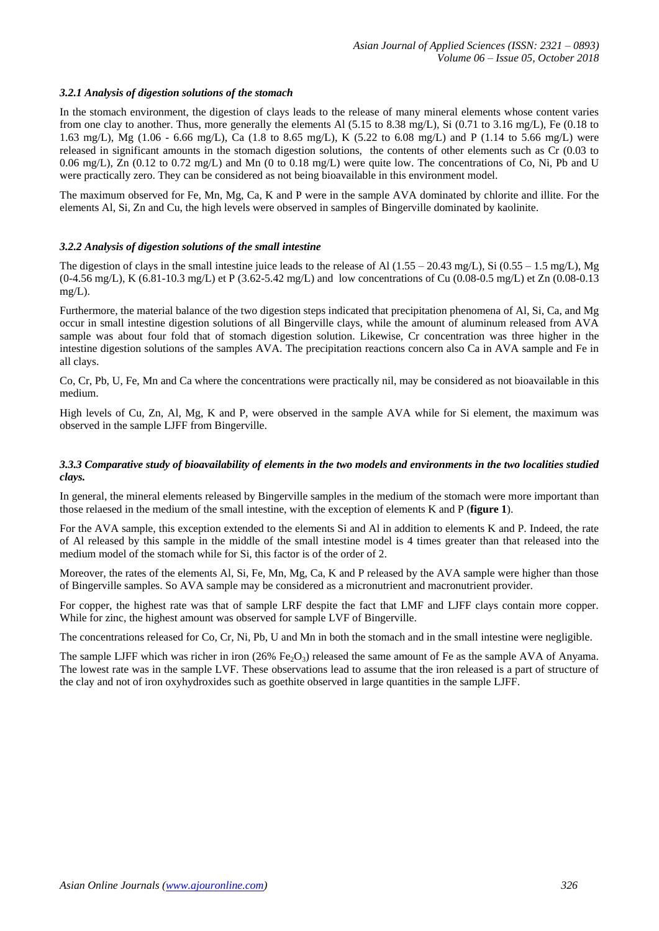#### *3.2.1 Analysis of digestion solutions of the stomach*

In the stomach environment, the digestion of clays leads to the release of many mineral elements whose content varies from one clay to another. Thus, more generally the elements Al (5.15 to 8.38 mg/L), Si (0.71 to 3.16 mg/L), Fe (0.18 to 1.63 mg/L), Mg (1.06 - 6.66 mg/L), Ca (1.8 to 8.65 mg/L), K (5.22 to 6.08 mg/L) and P (1.14 to 5.66 mg/L) were released in significant amounts in the stomach digestion solutions, the contents of other elements such as Cr (0.03 to 0.06 mg/L), Zn (0.12 to 0.72 mg/L) and Mn (0 to 0.18 mg/L) were quite low. The concentrations of Co, Ni, Pb and U were practically zero. They can be considered as not being bioavailable in this environment model.

The maximum observed for Fe, Mn, Mg, Ca, K and P were in the sample AVA dominated by chlorite and illite. For the elements Al, Si, Zn and Cu, the high levels were observed in samples of Bingerville dominated by kaolinite.

#### *3.2.2 Analysis of digestion solutions of the small intestine*

The digestion of clays in the small intestine juice leads to the release of Al  $(1.55 - 20.43 \text{ mg/L})$ , Si  $(0.55 - 1.5 \text{ mg/L})$ , Mg (0-4.56 mg/L), K (6.81-10.3 mg/L) et P (3.62-5.42 mg/L) and low concentrations of Cu (0.08-0.5 mg/L) et Zn (0.08-0.13 mg/L).

Furthermore, the material balance of the two digestion steps indicated that precipitation phenomena of Al, Si, Ca, and Mg occur in small intestine digestion solutions of all Bingerville clays, while the amount of aluminum released from AVA sample was about four fold that of stomach digestion solution. Likewise, Cr concentration was three higher in the intestine digestion solutions of the samples AVA. The precipitation reactions concern also Ca in AVA sample and Fe in all clays.

Co, Cr, Pb, U, Fe, Mn and Ca where the concentrations were practically nil, may be considered as not bioavailable in this medium.

High levels of Cu, Zn, Al, Mg, K and P, were observed in the sample AVA while for Si element, the maximum was observed in the sample LJFF from Bingerville.

#### *3.3.3 Comparative study of bioavailability of elements in the two models and environments in the two localities studied clays.*

In general, the mineral elements released by Bingerville samples in the medium of the stomach were more important than those relaesed in the medium of the small intestine, with the exception of elements K and P (**figure 1**).

For the AVA sample, this exception extended to the elements Si and Al in addition to elements K and P. Indeed, the rate of Al released by this sample in the middle of the small intestine model is 4 times greater than that released into the medium model of the stomach while for Si, this factor is of the order of 2.

Moreover, the rates of the elements Al, Si, Fe, Mn, Mg, Ca, K and P released by the AVA sample were higher than those of Bingerville samples. So AVA sample may be considered as a micronutrient and macronutrient provider.

For copper, the highest rate was that of sample LRF despite the fact that LMF and LJFF clays contain more copper. While for zinc, the highest amount was observed for sample LVF of Bingerville.

The concentrations released for Co, Cr, Ni, Pb, U and Mn in both the stomach and in the small intestine were negligible.

The sample LJFF which was richer in iron (26% Fe<sub>2</sub>O<sub>3</sub>) released the same amount of Fe as the sample AVA of Anyama. The lowest rate was in the sample LVF. These observations lead to assume that the iron released is a part of structure of the clay and not of iron oxyhydroxides such as goethite observed in large quantities in the sample LJFF.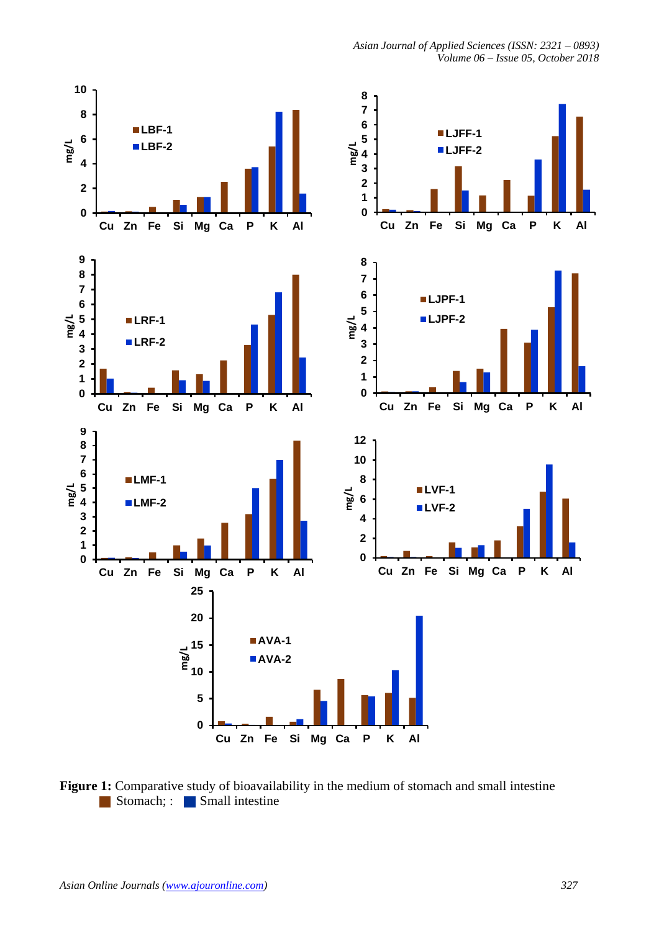

*Asian Journal of Applied Sciences (ISSN: 2321 – 0893)*

Figure 1: Comparative study of bioavailability in the medium of stomach and small intestine Stomach; Small intestine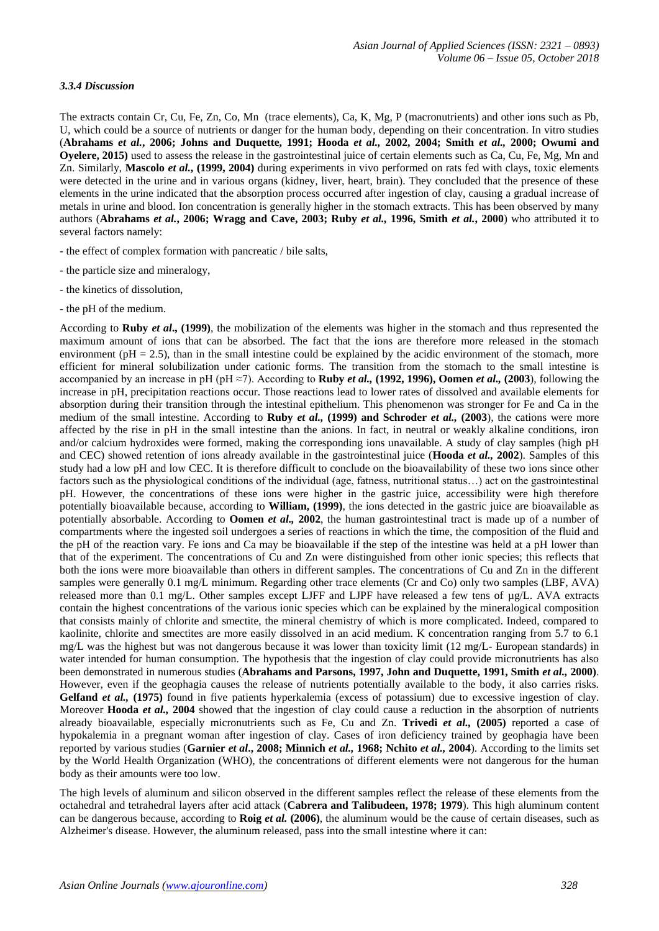#### *3.3.4 Discussion*

The extracts contain Cr, Cu, Fe, Zn, Co, Mn (trace elements), Ca, K, Mg, P (macronutrients) and other ions such as Pb, U, which could be a source of nutrients or danger for the human body, depending on their concentration. In vitro studies (**Abrahams** *et al.***, 2006; Johns and Duquette, 1991; Hooda** *et al.,* **2002, 2004; Smith** *et al.,* **2000; Owumi and Oyelere, 2015)** used to assess the release in the gastrointestinal juice of certain elements such as Ca, Cu, Fe, Mg, Mn and Zn. Similarly, **Mascolo** *et al.***, (1999, 2004)** during experiments in vivo performed on rats fed with clays, toxic elements were detected in the urine and in various organs (kidney, liver, heart, brain). They concluded that the presence of these elements in the urine indicated that the absorption process occurred after ingestion of clay, causing a gradual increase of metals in urine and blood. Ion concentration is generally higher in the stomach extracts. This has been observed by many authors (**Abrahams** *et al.***, 2006; Wragg and Cave, 2003; Ruby** *et al.,* **1996, Smith** *et al.***, 2000**) who attributed it to several factors namely:

- the effect of complex formation with pancreatic / bile salts,
- the particle size and mineralogy,
- the kinetics of dissolution,
- the pH of the medium.

According to **Ruby** *et al***., (1999)**, the mobilization of the elements was higher in the stomach and thus represented the maximum amount of ions that can be absorbed. The fact that the ions are therefore more released in the stomach environment ( $pH = 2.5$ ), than in the small intestine could be explained by the acidic environment of the stomach, more efficient for mineral solubilization under cationic forms. The transition from the stomach to the small intestine is accompanied by an increase in pH (pH ≈7). According to **Ruby** *et al.,* **(1992, 1996), Oomen** *et al.,* **(2003**), following the increase in pH, precipitation reactions occur. Those reactions lead to lower rates of dissolved and available elements for absorption during their transition through the intestinal epithelium. This phenomenon was stronger for Fe and Ca in the medium of the small intestine. According to **Ruby** *et al.,* **(1999) and Schroder** *et al.,* **(2003**), the cations were more affected by the rise in pH in the small intestine than the anions. In fact, in neutral or weakly alkaline conditions, iron and/or calcium hydroxides were formed, making the corresponding ions unavailable. A study of clay samples (high pH and CEC) showed retention of ions already available in the gastrointestinal juice (**Hooda** *et al.,* **2002**). Samples of this study had a low pH and low CEC. It is therefore difficult to conclude on the bioavailability of these two ions since other factors such as the physiological conditions of the individual (age, fatness, nutritional status…) act on the gastrointestinal pH. However, the concentrations of these ions were higher in the gastric juice, accessibility were high therefore potentially bioavailable because, according to **William, (1999)**, the ions detected in the gastric juice are bioavailable as potentially absorbable. According to **Oomen** *et al.,* **2002**, the human gastrointestinal tract is made up of a number of compartments where the ingested soil undergoes a series of reactions in which the time, the composition of the fluid and the pH of the reaction vary. Fe ions and Ca may be bioavailable if the step of the intestine was held at a pH lower than that of the experiment. The concentrations of Cu and Zn were distinguished from other ionic species; this reflects that both the ions were more bioavailable than others in different samples. The concentrations of Cu and Zn in the different samples were generally 0.1 mg/L minimum. Regarding other trace elements (Cr and Co) only two samples (LBF, AVA) released more than 0.1 mg/L. Other samples except LJFF and LJPF have released a few tens of µg/L. AVA extracts contain the highest concentrations of the various ionic species which can be explained by the mineralogical composition that consists mainly of chlorite and smectite, the mineral chemistry of which is more complicated. Indeed, compared to kaolinite, chlorite and smectites are more easily dissolved in an acid medium. K concentration ranging from 5.7 to 6.1 mg/L was the highest but was not dangerous because it was lower than toxicity limit (12 mg/L- European standards) in water intended for human consumption. The hypothesis that the ingestion of clay could provide micronutrients has also been demonstrated in numerous studies (**Abrahams and Parsons, 1997, John and Duquette, 1991, Smith** *et al.,* **2000)**. However, even if the geophagia causes the release of nutrients potentially available to the body, it also carries risks. **Gelfand** *et al.,* **(1975)** found in five patients hyperkalemia (excess of potassium) due to excessive ingestion of clay. Moreover **Hooda** *et al.,* **2004** showed that the ingestion of clay could cause a reduction in the absorption of nutrients already bioavailable, especially micronutrients such as Fe, Cu and Zn. **Trivedi** *et al.,* **(2005)** reported a case of hypokalemia in a pregnant woman after ingestion of clay. Cases of iron deficiency trained by geophagia have been reported by various studies (**Garnier** *et al***., 2008; Minnich** *et al.,* **1968; Nchito** *et al.,* **2004**). According to the limits set by the World Health Organization (WHO), the concentrations of different elements were not dangerous for the human body as their amounts were too low.

The high levels of aluminum and silicon observed in the different samples reflect the release of these elements from the octahedral and tetrahedral layers after acid attack (**Cabrera and Talibudeen, 1978; 1979**). This high aluminum content can be dangerous because, according to **Roig** *et al.* **(2006)**, the aluminum would be the cause of certain diseases, such as Alzheimer's disease. However, the aluminum released, pass into the small intestine where it can: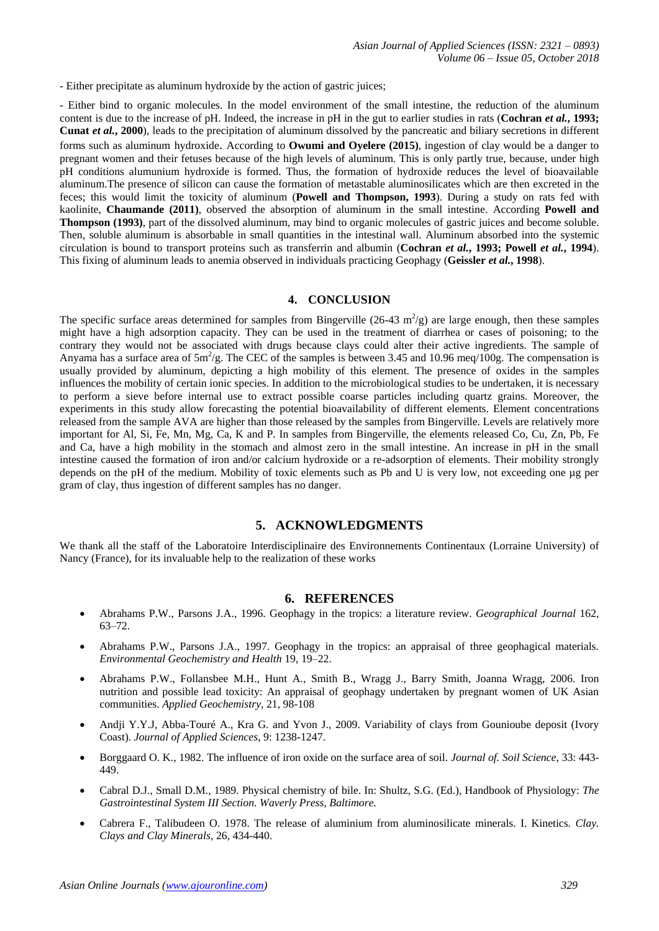- Either precipitate as aluminum hydroxide by the action of gastric juices;

- Either bind to organic molecules. In the model environment of the small intestine, the reduction of the aluminum content is due to the increase of pH. Indeed, the increase in pH in the gut to earlier studies in rats (**Cochran** *et al.***, 1993; Cunat** *et al.***, 2000**), leads to the precipitation of aluminum dissolved by the pancreatic and biliary secretions in different forms such as aluminum hydroxide. According to **Owumi and Oyelere (2015)**, ingestion of clay would be a danger to pregnant women and their fetuses because of the high levels of aluminum. This is only partly true, because, under high pH conditions alumunium hydroxide is formed. Thus, the formation of hydroxide reduces the level of bioavailable aluminum.The presence of silicon can cause the formation of metastable aluminosilicates which are then excreted in the feces; this would limit the toxicity of aluminum (**Powell and Thompson, 1993**). During a study on rats fed with kaolinite, **Chaumande (2011)**, observed the absorption of aluminum in the small intestine. According **Powell and Thompson (1993)**, part of the dissolved aluminum, may bind to organic molecules of gastric juices and become soluble. Then, soluble aluminum is absorbable in small quantities in the intestinal wall. Aluminum absorbed into the systemic circulation is bound to transport proteins such as transferrin and albumin (**Cochran** *et al.***, 1993; Powell** *et al.***, 1994**). This fixing of aluminum leads to anemia observed in individuals practicing Geophagy (**Geissler** *et al.***, 1998**).

## **4. CONCLUSION**

The specific surface areas determined for samples from Bingerville (26-43  $m^2/g$ ) are large enough, then these samples might have a high adsorption capacity. They can be used in the treatment of diarrhea or cases of poisoning; to the contrary they would not be associated with drugs because clays could alter their active ingredients. The sample of Anyama has a surface area of  $5m^2/g$ . The CEC of the samples is between 3.45 and 10.96 meq/100g. The compensation is usually provided by aluminum, depicting a high mobility of this element. The presence of oxides in the samples influences the mobility of certain ionic species. In addition to the microbiological studies to be undertaken, it is necessary to perform a sieve before internal use to extract possible coarse particles including quartz grains. Moreover, the experiments in this study allow forecasting the potential bioavailability of different elements. Element concentrations released from the sample AVA are higher than those released by the samples from Bingerville. Levels are relatively more important for Al, Si, Fe, Mn, Mg, Ca, K and P. In samples from Bingerville, the elements released Co, Cu, Zn, Pb, Fe and Ca, have a high mobility in the stomach and almost zero in the small intestine. An increase in pH in the small intestine caused the formation of iron and/or calcium hydroxide or a re-adsorption of elements. Their mobility strongly depends on the pH of the medium. Mobility of toxic elements such as Pb and U is very low, not exceeding one µg per gram of clay, thus ingestion of different samples has no danger.

## **5. ACKNOWLEDGMENTS**

We thank all the staff of the Laboratoire Interdisciplinaire des Environnements Continentaux (Lorraine University) of Nancy (France), for its invaluable help to the realization of these works

## **6. REFERENCES**

- Abrahams P.W., Parsons J.A., 1996. Geophagy in the tropics: a literature review. *Geographical Journal* 162, 63–72.
- Abrahams P.W., Parsons J.A., 1997. Geophagy in the tropics: an appraisal of three geophagical materials. *Environmental Geochemistry and Health* 19, 19–22.
- Abrahams P.W., Follansbee M.H., Hunt A., Smith B., Wragg J., Barry Smith, Joanna Wragg, 2006. Iron nutrition and possible lead toxicity: An appraisal of geophagy undertaken by pregnant women of UK Asian communities. *Applied Geochemistry*, 21, 98-108
- Andji Y.Y.J, Abba-Touré A., Kra G. and Yvon J., 2009. Variability of clays from Gounioube deposit (Ivory Coast). *Journal of Applied Sciences*, 9: 1238-1247.
- Borggaard O. K., 1982. The influence of iron oxide on the surface area of soil. *Journal of. Soil Science*, 33: 443- 449.
- Cabral D.J., Small D.M., 1989. Physical chemistry of bile. In: Shultz, S.G. (Ed.), Handbook of Physiology: *The Gastrointestinal System III Section. Waverly Press, Baltimore.*
- Cabrera F., Talibudeen O. 1978. The release of aluminium from aluminosilicate minerals. I. Kinetics*. Clay. Clays and Clay Minerals*, 26, 434-440.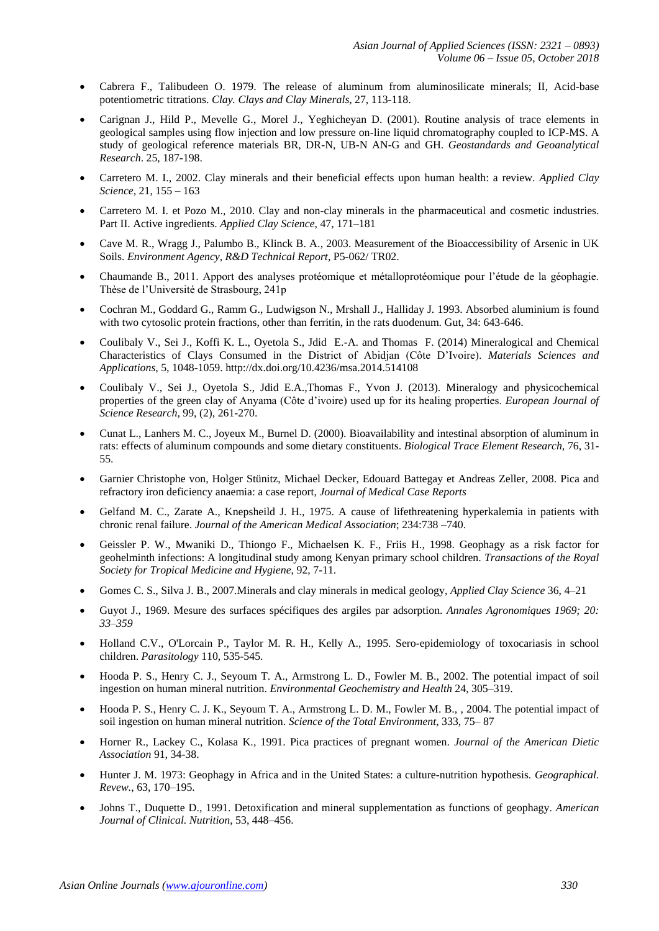- Cabrera F., Talibudeen O. 1979. The release of aluminum from aluminosilicate minerals; II, Acid-base potentiometric titrations. *Clay. Clays and Clay Minerals*, 27, 113-118.
- Carignan J., Hild P., Mevelle G., Morel J., Yeghicheyan D. (2001). Routine analysis of trace elements in geological samples using flow injection and low pressure on-line liquid chromatography coupled to ICP-MS. A study of geological reference materials BR, DR-N, UB-N AN-G and GH. *Geostandards and Geoanalytical Research*. 25, 187-198.
- Carretero M. I., 2002. Clay minerals and their beneficial effects upon human health: a review. *Applied Clay Science*, 21, 155 – 163
- Carretero M. I. et Pozo M., 2010. Clay and non-clay minerals in the pharmaceutical and cosmetic industries. Part II. Active ingredients. *Applied Clay Science*, 47, 171–181
- Cave M. R., Wragg J., Palumbo B., Klinck B. A., 2003. Measurement of the Bioaccessibility of Arsenic in UK Soils. *Environment Agency, R&D Technical Report*, P5-062/ TR02.
- Chaumande B., 2011. Apport des analyses protéomique et métalloprotéomique pour l'étude de la géophagie. Thèse de l'Université de Strasbourg, 241p
- Cochran M., Goddard G., Ramm G., Ludwigson N., Mrshall J., Halliday J. 1993. Absorbed aluminium is found with two cytosolic protein fractions, other than ferritin, in the rats duodenum. Gut, 34: 643-646.
- Coulibaly V., Sei J., Koffi K. L., Oyetola S., Jdid E.-A. and Thomas F. (2014) Mineralogical and Chemical Characteristics of Clays Consumed in the District of Abidjan (Côte D'Ivoire). *Materials Sciences and Applications*, 5, 1048-1059. http://dx.doi.org/10.4236/msa.2014.514108
- Coulibaly V., Sei J., Oyetola S., Jdid E.A.,Thomas F., Yvon J. (2013). Mineralogy and physicochemical properties of the green clay of Anyama (Côte d'ivoire) used up for its healing properties. *European Journal of Science Research*, 99, (2), 261-270.
- Cunat L., Lanhers M. C., Joyeux M., Burnel D. (2000). Bioavailability and intestinal absorption of aluminum in rats: effects of aluminum compounds and some dietary constituents. *Biological Trace Element Research,* 76, 31- 55.
- Garnier Christophe von, Holger Stünitz, Michael Decker, Edouard Battegay et Andreas Zeller, 2008. Pica and refractory iron deficiency anaemia: a case report, *Journal of Medical Case Reports*
- Gelfand M. C., Zarate A., Knepsheild J. H., 1975. A cause of lifethreatening hyperkalemia in patients with chronic renal failure. *Journal of the American Medical Association*; 234:738 –740.
- Geissler P. W., Mwaniki D., Thiongo F., Michaelsen K. F., Friis H., 1998. Geophagy as a risk factor for geohelminth infections: A longitudinal study among Kenyan primary school children. *Transactions of the Royal Society for Tropical Medicine and Hygiene*, 92, 7-11.
- Gomes C. S., Silva J. B., 2007.Minerals and clay minerals in medical geology, *Applied Clay Science* 36, 4–21
- Guyot J., 1969. Mesure des surfaces spécifiques des argiles par adsorption. *Annales Agronomiques 1969; 20: 33–359*
- Holland C.V., O'Lorcain P., Taylor M. R. H., Kelly A., 1995. Sero-epidemiology of toxocariasis in school children. *Parasitology* 110, 535-545.
- Hooda P. S., Henry C. J., Seyoum T. A., Armstrong L. D., Fowler M. B., 2002. The potential impact of soil ingestion on human mineral nutrition. *Environmental Geochemistry and Health* 24, 305–319.
- Hooda P. S., Henry C. J. K., Seyoum T. A., Armstrong L. D. M., Fowler M. B., , 2004. The potential impact of soil ingestion on human mineral nutrition. *Science of the Total Environment*, 333, 75– 87
- Horner R., Lackey C., Kolasa K., 1991. Pica practices of pregnant women. *Journal of the American Dietic Association* 91, 34-38.
- Hunter J. M. 1973: Geophagy in Africa and in the United States: a culture-nutrition hypothesis. *Geographical. Revew.*, 63, 170–195.
- Johns T., Duquette D., 1991. Detoxification and mineral supplementation as functions of geophagy. *American Journal of Clinical. Nutrition*, 53, 448–456.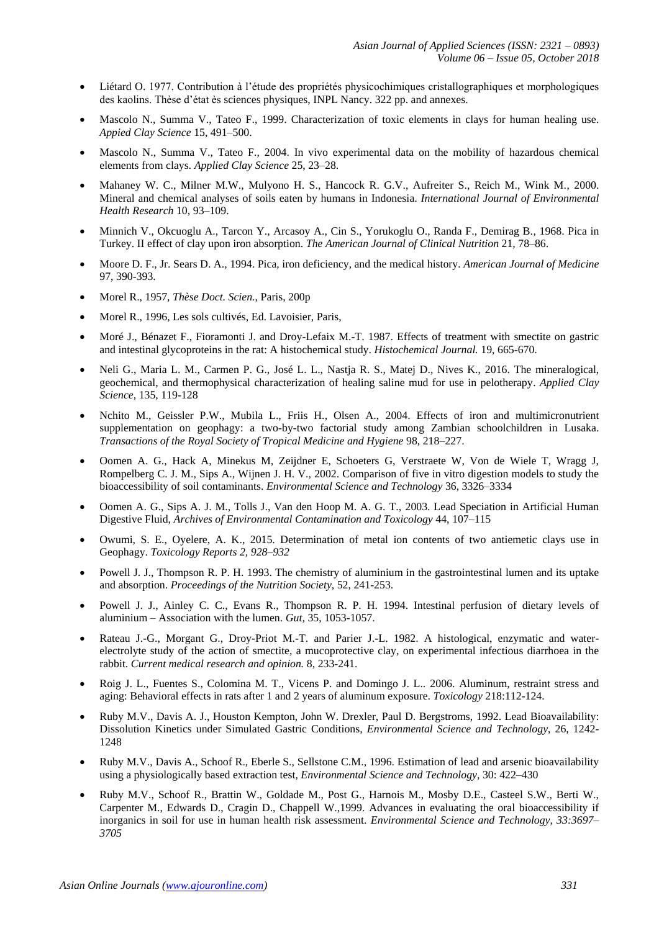- Liétard O. 1977. Contribution à l'étude des propriétés physicochimiques cristallographiques et morphologiques des kaolins. Thèse d'état ès sciences physiques, INPL Nancy. 322 pp. and annexes.
- Mascolo N., Summa V., Tateo F., 1999. Characterization of toxic elements in clays for human healing use. *Appied Clay Science* 15, 491–500.
- Mascolo N., Summa V., Tateo F., 2004. In vivo experimental data on the mobility of hazardous chemical elements from clays. *Applied Clay Science* 25, 23–28.
- Mahaney W. C., Milner M.W., Mulyono H. S., Hancock R. G.V., Aufreiter S., Reich M., Wink M., 2000. Mineral and chemical analyses of soils eaten by humans in Indonesia. *International Journal of Environmental Health Research* 10, 93–109.
- Minnich V., Okcuoglu A., Tarcon Y., Arcasoy A., Cin S., Yorukoglu O., Randa F., Demirag B., 1968. Pica in Turkey. II effect of clay upon iron absorption. *The American Journal of Clinical Nutrition* 21, 78–86.
- Moore D. F., Jr. Sears D. A., 1994. Pica, iron deficiency, and the medical history. *American Journal of Medicine* 97, 390-393.
- Morel R., 1957, *Thèse Doct. Scien.*, Paris, 200p
- Morel R., 1996, Les sols cultivés, Ed. Lavoisier, Paris,
- Moré J., Bénazet F., Fioramonti J. and Droy-Lefaix M.-T. 1987. Effects of treatment with smectite on gastric and intestinal glycoproteins in the rat: A histochemical study. *Histochemical Journal.* 19, 665-670.
- Neli G., Maria L. M., Carmen P. G., José L. L., Nastja R. S., Matej D., Nives K., 2016. The mineralogical, geochemical, and thermophysical characterization of healing saline mud for use in pelotherapy. *Applied Clay Science,* [135,](https://www.sciencedirect.com/science/journal/01691317/135/supp/C) 119-128
- Nchito M., Geissler P.W., Mubila L., Friis H., Olsen A., 2004. Effects of iron and multimicronutrient supplementation on geophagy: a two-by-two factorial study among Zambian schoolchildren in Lusaka. *Transactions of the Royal Society of Tropical Medicine and Hygiene* 98, 218–227.
- Oomen A. G., Hack A, Minekus M, Zeijdner E, Schoeters G, Verstraete W, Von de Wiele T, Wragg J, Rompelberg C. J. M., Sips A., Wijnen J. H. V., 2002. Comparison of five in vitro digestion models to study the bioaccessibility of soil contaminants. *Environmental Science and Technology* 36, 3326–3334
- Oomen A. G., Sips A. J. M., Tolls J., Van den Hoop M. A. G. T., 2003. Lead Speciation in Artificial Human Digestive Fluid, *Archives of Environmental Contamination and Toxicology* 44, 107–115
- Owumi, S. E., Oyelere, A. K., 2015. Determination of metal ion contents of two antiemetic clays use in Geophagy. *Toxicology Reports 2, 928–932*
- Powell J. J., Thompson R. P. H. 1993. The chemistry of aluminium in the gastrointestinal lumen and its uptake and absorption. *Proceedings of the Nutrition Society,* 52, 241-253.
- Powell J. J., Ainley C. C., Evans R., Thompson R. P. H. 1994. Intestinal perfusion of dietary levels of aluminium – Association with the lumen. *Gut,* 35, 1053-1057.
- Rateau J.-G., Morgant G., Droy-Priot M.-T. and Parier J.-L. 1982. A histological, enzymatic and waterelectrolyte study of the action of smectite, a mucoprotective clay, on experimental infectious diarrhoea in the rabbit. *Current medical research and opinion.* 8, 233-241.
- Roig J. L., Fuentes S., Colomina M. T., Vicens P. and Domingo J. L.. 2006. Aluminum, restraint stress and aging: Behavioral effects in rats after 1 and 2 years of aluminum exposure. *Toxicology* 218:112-124.
- Ruby M.V., Davis A. J., Houston Kempton, John W. Drexler, Paul D. Bergstroms, 1992. Lead Bioavailability: Dissolution Kinetics under Simulated Gastric Conditions, *Environmental Science and Technology*, 26, 1242- 1248
- Ruby M.V., Davis A., Schoof R., Eberle S., Sellstone C.M., 1996. Estimation of lead and arsenic bioavailability using a physiologically based extraction test*, Environmental Science and Technology,* 30: 422–430
- Ruby M.V., Schoof R., Brattin W., Goldade M., Post G., Harnois M., Mosby D.E., Casteel S.W., Berti W., Carpenter M., Edwards D., Cragin D., Chappell W.,1999. Advances in evaluating the oral bioaccessibility if inorganics in soil for use in human health risk assessment. *Environmental Science and Technology, 33:3697– 3705*